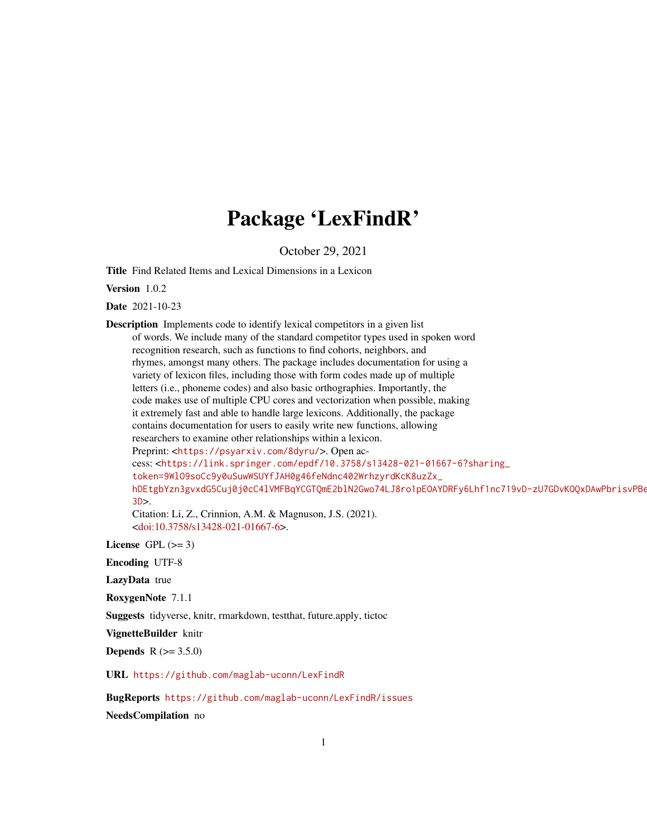# Package 'LexFindR'

October 29, 2021

Title Find Related Items and Lexical Dimensions in a Lexicon

Version 1.0.2

Date 2021-10-23

Description Implements code to identify lexical competitors in a given list of words. We include many of the standard competitor types used in spoken word recognition research, such as functions to find cohorts, neighbors, and rhymes, amongst many others. The package includes documentation for using a variety of lexicon files, including those with form codes made up of multiple letters (i.e., phoneme codes) and also basic orthographies. Importantly, the code makes use of multiple CPU cores and vectorization when possible, making it extremely fast and able to handle large lexicons. Additionally, the package contains documentation for users to easily write new functions, allowing researchers to examine other relationships within a lexicon. Preprint: <<https://psyarxiv.com/8dyru/>>. Open access: <[https://link.springer.com/epdf/10.3758/s13428-021-01667-6?sharing\\_](https://link.springer.com/epdf/10.3758/s13428-021-01667-6?sharing_token=9WlO9soCc9y0uSuwWSUYfJAH0g46feNdnc402WrhzyrdKcK8uzZx_hDEtgbYzn3gvxdG5Cuj0j0cC4lVMFBqYCGTQmE2blN2Gwo74LJ8ro1pEOAYDRFy6Lhf1nc719vD-zU7GDvKOQxDAwPbrisvPBeXSIu0NkqXF7Jx3IuUwIs%3D) [token=9WlO9soCc9y0uSuwWSUYfJAH0g46feNdnc402WrhzyrdKcK8uzZx\\_](https://link.springer.com/epdf/10.3758/s13428-021-01667-6?sharing_token=9WlO9soCc9y0uSuwWSUYfJAH0g46feNdnc402WrhzyrdKcK8uzZx_hDEtgbYzn3gvxdG5Cuj0j0cC4lVMFBqYCGTQmE2blN2Gwo74LJ8ro1pEOAYDRFy6Lhf1nc719vD-zU7GDvKOQxDAwPbrisvPBeXSIu0NkqXF7Jx3IuUwIs%3D) [hDEtgbYzn3gvxdG5Cuj0j0cC4lVMFBqYCGTQmE2blN2Gwo74LJ8ro1pEOAYDRFy6Lhf1nc719vD-zU](https://link.springer.com/epdf/10.3758/s13428-021-01667-6?sharing_token=9WlO9soCc9y0uSuwWSUYfJAH0g46feNdnc402WrhzyrdKcK8uzZx_hDEtgbYzn3gvxdG5Cuj0j0cC4lVMFBqYCGTQmE2blN2Gwo74LJ8ro1pEOAYDRFy6Lhf1nc719vD-zU7GDvKOQxDAwPbrisvPBeXSIu0NkqXF7Jx3IuUwIs%3D)7GDvKOQxDAwPbrisvPBe [3D](https://link.springer.com/epdf/10.3758/s13428-021-01667-6?sharing_token=9WlO9soCc9y0uSuwWSUYfJAH0g46feNdnc402WrhzyrdKcK8uzZx_hDEtgbYzn3gvxdG5Cuj0j0cC4lVMFBqYCGTQmE2blN2Gwo74LJ8ro1pEOAYDRFy6Lhf1nc719vD-zU7GDvKOQxDAwPbrisvPBeXSIu0NkqXF7Jx3IuUwIs%3D)>.

Citation: Li, Z., Crinnion, A.M. & Magnuson, J.S. (2021). [<doi:10.3758/s13428-021-01667-6>](https://doi.org/10.3758/s13428-021-01667-6).

License GPL  $(>= 3)$ 

Encoding UTF-8

LazyData true

RoxygenNote 7.1.1

Suggests tidyverse, knitr, rmarkdown, testthat, future.apply, tictoc

VignetteBuilder knitr

**Depends** R  $(>= 3.5.0)$ 

URL <https://github.com/maglab-uconn/LexFindR>

BugReports <https://github.com/maglab-uconn/LexFindR/issues> NeedsCompilation no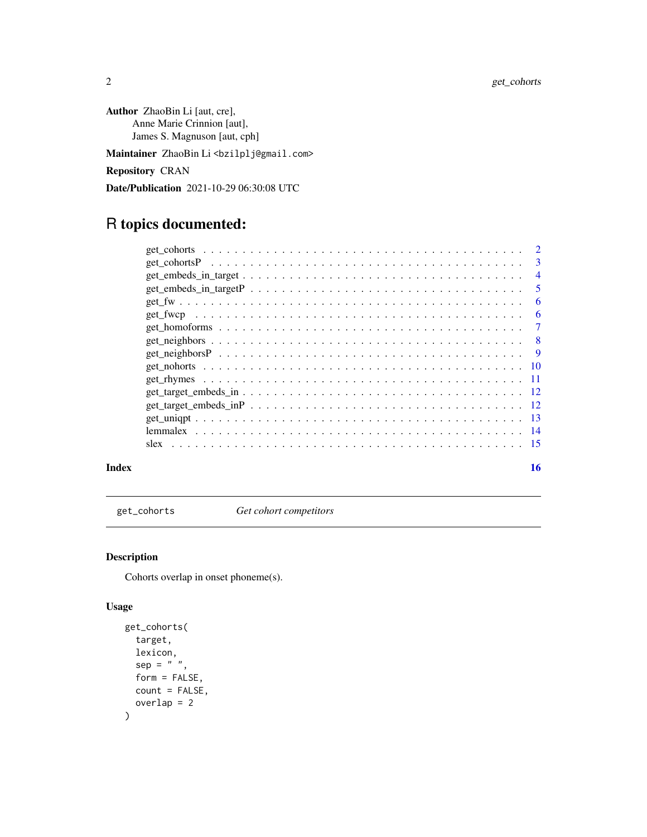<span id="page-1-0"></span>Author ZhaoBin Li [aut, cre], Anne Marie Crinnion [aut], James S. Magnuson [aut, cph]

Maintainer ZhaoBin Li<br/> <br/> <br/> <br/> <br/> <br/> <br/> <br/> <br/> Li<br/><br/> $\mbox{L}$  <br/> $\mbox{L}$  <br/> $\mbox{L}$  <br/> $\mbox{L}$  <br/> $\mbox{L}$  <br/> $\mbox{L}$  <br/> $\mbox{L}$  <br/> $\mbox{L}$  <br/> $\mbox{L}$  <br/> $\mbox{L}$ 

Repository CRAN

Date/Publication 2021-10-29 06:30:08 UTC

# R topics documented:

| Index | 16 |
|-------|----|
|       |    |
|       |    |
|       |    |
|       |    |
|       |    |
|       |    |
|       |    |
|       |    |
|       |    |
|       |    |
|       |    |
|       |    |
|       |    |
|       |    |
|       |    |
|       |    |

get\_cohorts *Get cohort competitors*

# Description

Cohorts overlap in onset phoneme(s).

#### Usage

```
get_cohorts(
  target,
  lexicon,
  sep = " " ,form = FALSE,
  count = FALSE,
  overlap = 2
\mathcal{L}
```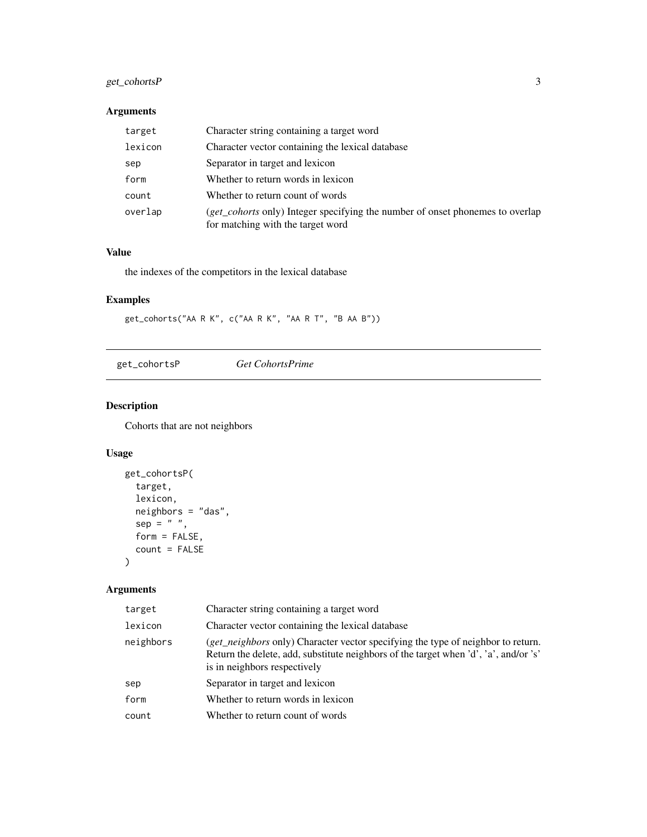# <span id="page-2-0"></span>get\_cohortsP 3

# Arguments

| target  | Character string containing a target word                                                                                 |
|---------|---------------------------------------------------------------------------------------------------------------------------|
| lexicon | Character vector containing the lexical database                                                                          |
| sep     | Separator in target and lexicon                                                                                           |
| form    | Whether to return words in lexicon                                                                                        |
| count   | Whether to return count of words                                                                                          |
| overlap | <i>(get_cohorts</i> only) Integer specifying the number of onset phonemes to overlap<br>for matching with the target word |

# Value

the indexes of the competitors in the lexical database

# Examples

get\_cohorts("AA R K", c("AA R K", "AA R T", "B AA B"))

get\_cohortsP *Get CohortsPrime*

# Description

Cohorts that are not neighbors

# Usage

```
get_cohortsP(
 target,
 lexicon,
 neighbors = "das",
 sep = " "form = FALSE,
 count = FALSE
)
```
# Arguments

| target    | Character string containing a target word                                                                                                                                                                |
|-----------|----------------------------------------------------------------------------------------------------------------------------------------------------------------------------------------------------------|
| lexicon   | Character vector containing the lexical database                                                                                                                                                         |
| neighbors | (get_neighbors only) Character vector specifying the type of neighbor to return.<br>Return the delete, add, substitute neighbors of the target when 'd', 'a', and/or 's'<br>is in neighbors respectively |
| sep       | Separator in target and lexicon                                                                                                                                                                          |
| form      | Whether to return words in lexicon                                                                                                                                                                       |
| count     | Whether to return count of words                                                                                                                                                                         |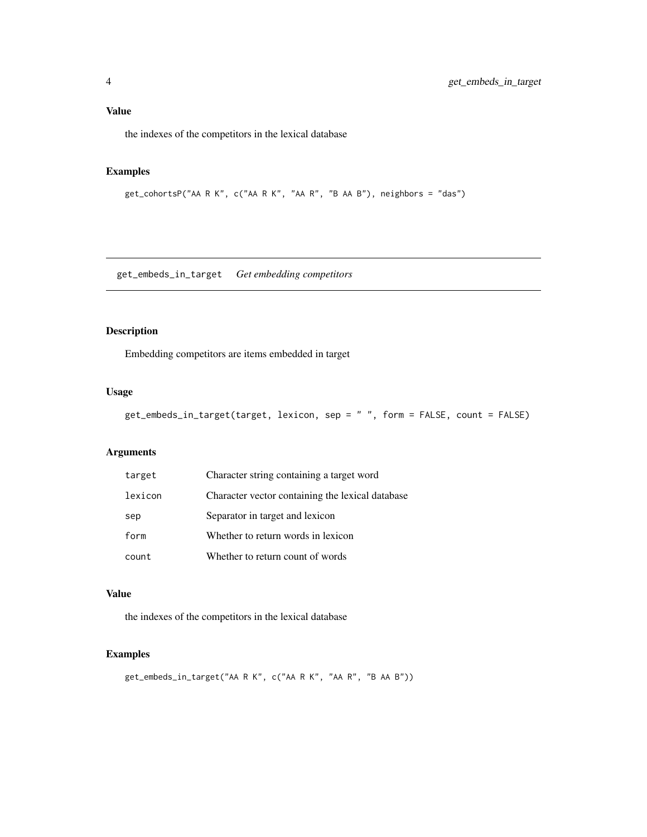# <span id="page-3-0"></span>Value

the indexes of the competitors in the lexical database

#### Examples

```
get_cohortsP("AA R K", c("AA R K", "AA R", "B AA B"), neighbors = "das")
```
get\_embeds\_in\_target *Get embedding competitors*

# Description

Embedding competitors are items embedded in target

#### Usage

```
get_embeds_in_target(target, lexicon, sep = " ", form = FALSE, count = FALSE)
```
# Arguments

| target  | Character string containing a target word        |
|---------|--------------------------------------------------|
| lexicon | Character vector containing the lexical database |
| sep     | Separator in target and lexicon                  |
| form    | Whether to return words in lexicon               |
| count   | Whether to return count of words                 |

#### Value

the indexes of the competitors in the lexical database

# Examples

get\_embeds\_in\_target("AA R K", c("AA R K", "AA R", "B AA B"))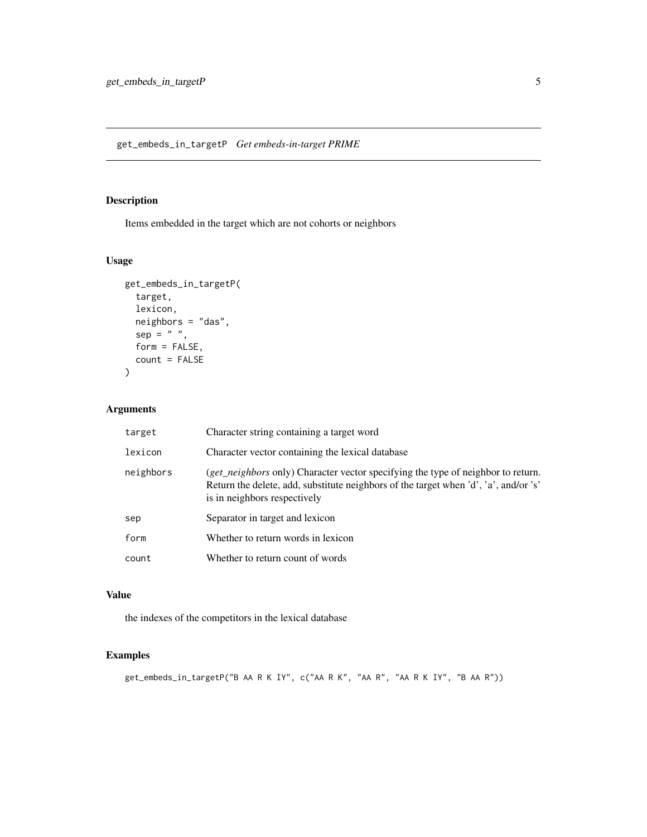<span id="page-4-0"></span>Items embedded in the target which are not cohorts or neighbors

# Usage

```
get_embeds_in_targetP(
  target,
  lexicon,
  neighbors = "das",
  sep = " " ,form = FALSE,
  count = FALSE
\mathcal{L}
```
# Arguments

| target    | Character string containing a target word                                                                                                                                                                |
|-----------|----------------------------------------------------------------------------------------------------------------------------------------------------------------------------------------------------------|
| lexicon   | Character vector containing the lexical database                                                                                                                                                         |
| neighbors | (get_neighbors only) Character vector specifying the type of neighbor to return.<br>Return the delete, add, substitute neighbors of the target when 'd', 'a', and/or 's'<br>is in neighbors respectively |
| sep       | Separator in target and lexicon                                                                                                                                                                          |
| form      | Whether to return words in lexicon                                                                                                                                                                       |
| count     | Whether to return count of words                                                                                                                                                                         |

#### Value

the indexes of the competitors in the lexical database

```
get_embeds_in_targetP("B AA R K IY", c("AA R K", "AA R", "AA R K IY", "B AA R"))
```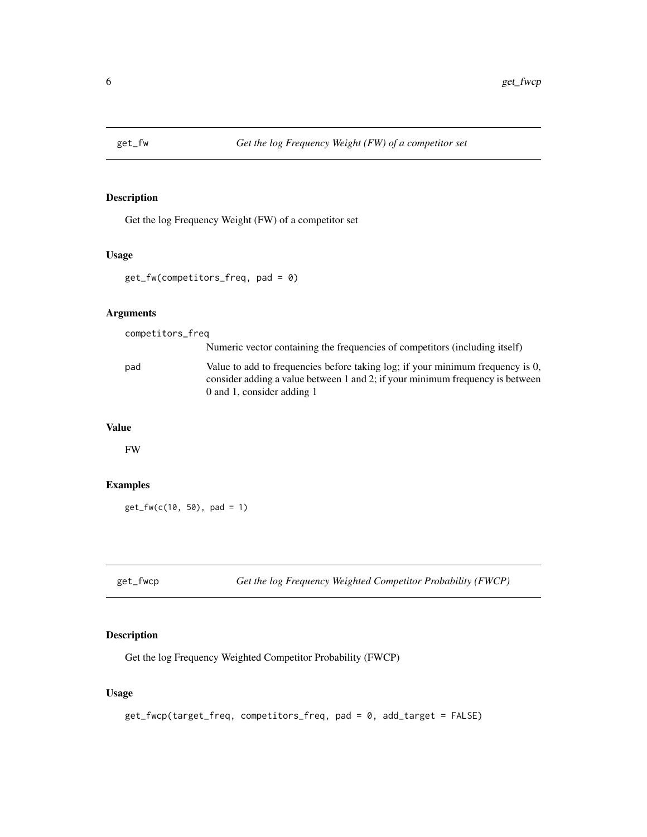<span id="page-5-0"></span>

Get the log Frequency Weight (FW) of a competitor set

# Usage

```
get_fw(competitors_freq, pad = 0)
```
# Arguments

| competitors_freq |                                                                                                                                                                                               |
|------------------|-----------------------------------------------------------------------------------------------------------------------------------------------------------------------------------------------|
|                  | Numeric vector containing the frequencies of competitors (including itself)                                                                                                                   |
| pad              | Value to add to frequencies before taking log; if your minimum frequency is 0,<br>consider adding a value between 1 and 2; if your minimum frequency is between<br>0 and 1, consider adding 1 |

#### Value

FW

# Examples

 $get_fw(c(10, 50), pad = 1)$ 

get\_fwcp *Get the log Frequency Weighted Competitor Probability (FWCP)*

# Description

Get the log Frequency Weighted Competitor Probability (FWCP)

#### Usage

```
get_fwcp(target_freq, competitors_freq, pad = 0, add_target = FALSE)
```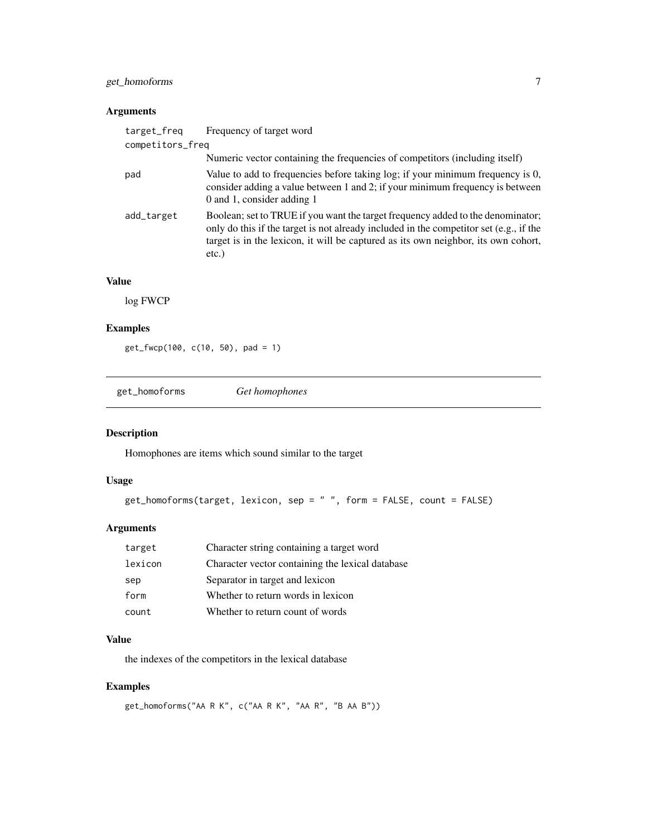# <span id="page-6-0"></span>get\_homoforms 7

# Arguments

| target_freq      | Frequency of target word                                                                                                                                                                                                                                                    |
|------------------|-----------------------------------------------------------------------------------------------------------------------------------------------------------------------------------------------------------------------------------------------------------------------------|
| competitors_freq |                                                                                                                                                                                                                                                                             |
|                  | Numeric vector containing the frequencies of competitors (including itself)                                                                                                                                                                                                 |
| pad              | Value to add to frequencies before taking log; if your minimum frequency is 0,<br>consider adding a value between 1 and 2; if your minimum frequency is between<br>0 and 1, consider adding 1                                                                               |
| add_target       | Boolean; set to TRUE if you want the target frequency added to the denominator;<br>only do this if the target is not already included in the competitor set (e.g., if the<br>target is in the lexicon, it will be captured as its own neighbor, its own cohort,<br>$etc.$ ) |

#### Value

log FWCP

# Examples

get\_fwcp(100, c(10, 50), pad = 1)

get\_homoforms *Get homophones*

# Description

Homophones are items which sound similar to the target

# Usage

```
get_homoforms(target, lexicon, sep = " ", form = FALSE, count = FALSE)
```
# Arguments

| target  | Character string containing a target word        |
|---------|--------------------------------------------------|
| lexicon | Character vector containing the lexical database |
| sep     | Separator in target and lexicon                  |
| form    | Whether to return words in lexicon               |
| count   | Whether to return count of words                 |

# Value

the indexes of the competitors in the lexical database

# Examples

get\_homoforms("AA R K", c("AA R K", "AA R", "B AA B"))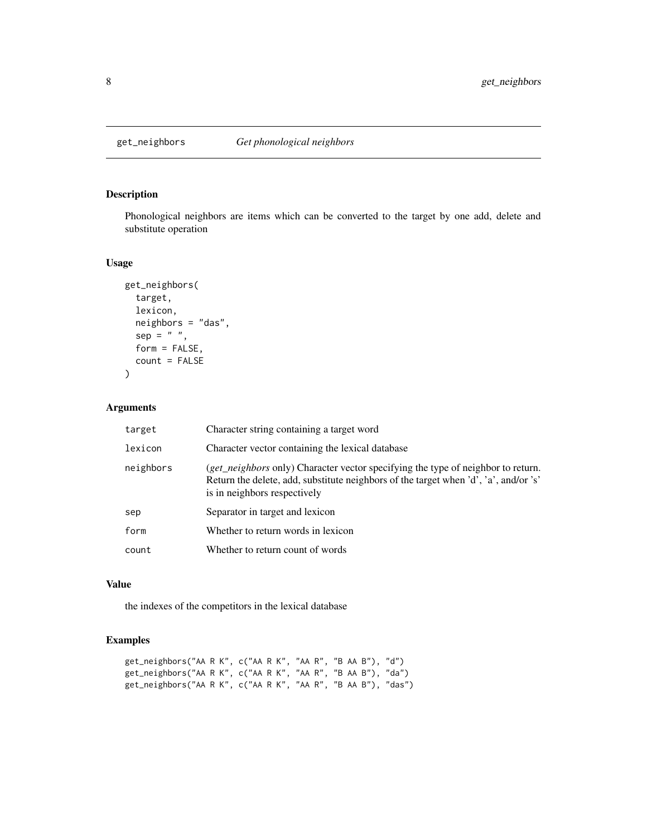<span id="page-7-0"></span>

Phonological neighbors are items which can be converted to the target by one add, delete and substitute operation

#### Usage

```
get_neighbors(
 target,
  lexicon,
  neighbors = "das",
  sep = " "form = FALSE,count = FALSE\mathcal{L}
```
# Arguments

| target    | Character string containing a target word                                                                                                                                                                |
|-----------|----------------------------------------------------------------------------------------------------------------------------------------------------------------------------------------------------------|
| lexicon   | Character vector containing the lexical database                                                                                                                                                         |
| neighbors | (get_neighbors only) Character vector specifying the type of neighbor to return.<br>Return the delete, add, substitute neighbors of the target when 'd', 'a', and/or 's'<br>is in neighbors respectively |
| sep       | Separator in target and lexicon                                                                                                                                                                          |
| form      | Whether to return words in lexicon                                                                                                                                                                       |
| count     | Whether to return count of words                                                                                                                                                                         |

#### Value

the indexes of the competitors in the lexical database

```
get_neighbors("AA R K", c("AA R K", "AA R", "B AA B"), "d")
get_neighbors("AA R K", c("AA R K", "AA R", "B AA B"), "da")
get_neighbors("AA R K", c("AA R K", "AA R", "B AA B"), "das")
```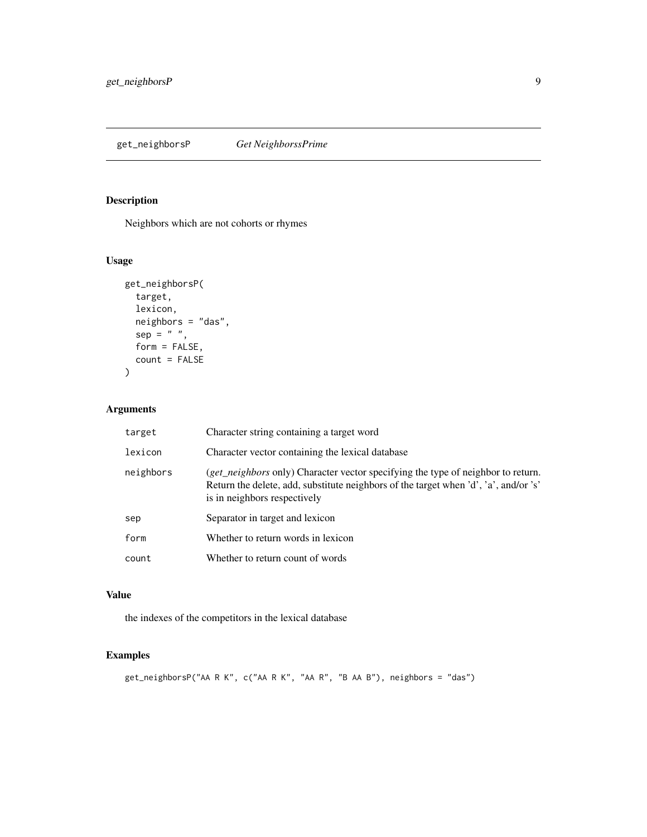<span id="page-8-0"></span>get\_neighborsP *Get NeighborssPrime*

# Description

Neighbors which are not cohorts or rhymes

# Usage

```
get_neighborsP(
  target,
  lexicon,
  neighbors = "das",
  sep = " " ,form = FALSE,
  count = FALSE
\mathcal{L}
```
# Arguments

| target    | Character string containing a target word                                                                                                                                                                |
|-----------|----------------------------------------------------------------------------------------------------------------------------------------------------------------------------------------------------------|
| lexicon   | Character vector containing the lexical database                                                                                                                                                         |
| neighbors | (get_neighbors only) Character vector specifying the type of neighbor to return.<br>Return the delete, add, substitute neighbors of the target when 'd', 'a', and/or 's'<br>is in neighbors respectively |
| sep       | Separator in target and lexicon                                                                                                                                                                          |
| form      | Whether to return words in lexicon                                                                                                                                                                       |
| count     | Whether to return count of words                                                                                                                                                                         |

# Value

the indexes of the competitors in the lexical database

```
get_neighborsP("AA R K", c("AA R K", "AA R", "B AA B"), neighbors = "das")
```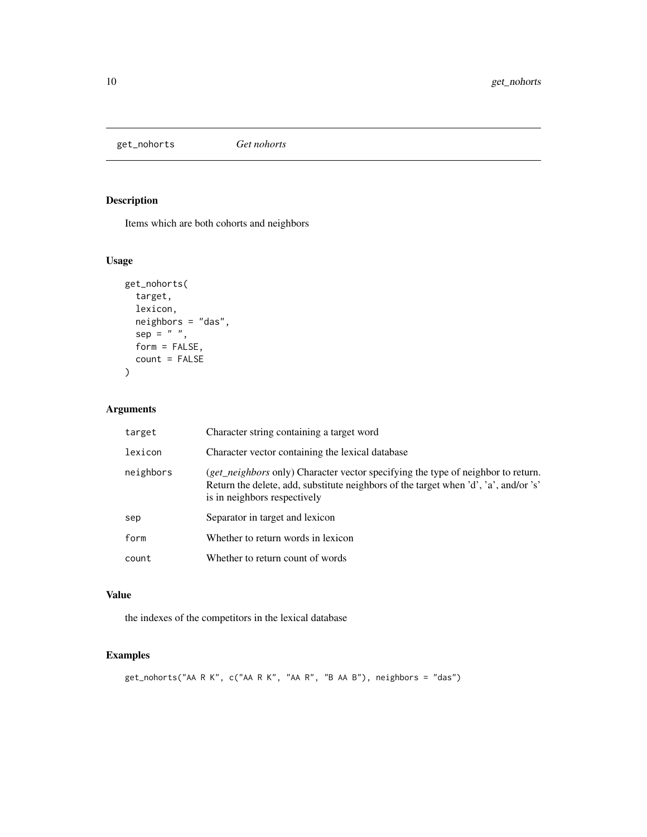<span id="page-9-0"></span>get\_nohorts *Get nohorts*

# Description

Items which are both cohorts and neighbors

# Usage

```
get_nohorts(
  target,
  lexicon,
  neighbors = "das",
  sep = " " ,form = FALSE,
  count = FALSE\mathcal{L}
```
# Arguments

| target    | Character string containing a target word                                                                                                                                                                |
|-----------|----------------------------------------------------------------------------------------------------------------------------------------------------------------------------------------------------------|
| lexicon   | Character vector containing the lexical database                                                                                                                                                         |
| neighbors | (get_neighbors only) Character vector specifying the type of neighbor to return.<br>Return the delete, add, substitute neighbors of the target when 'd', 'a', and/or 's'<br>is in neighbors respectively |
| sep       | Separator in target and lexicon                                                                                                                                                                          |
| form      | Whether to return words in lexicon                                                                                                                                                                       |
| count     | Whether to return count of words                                                                                                                                                                         |

#### Value

the indexes of the competitors in the lexical database

```
get_nohorts("AA R K", c("AA R K", "AA R", "B AA B"), neighbors = "das")
```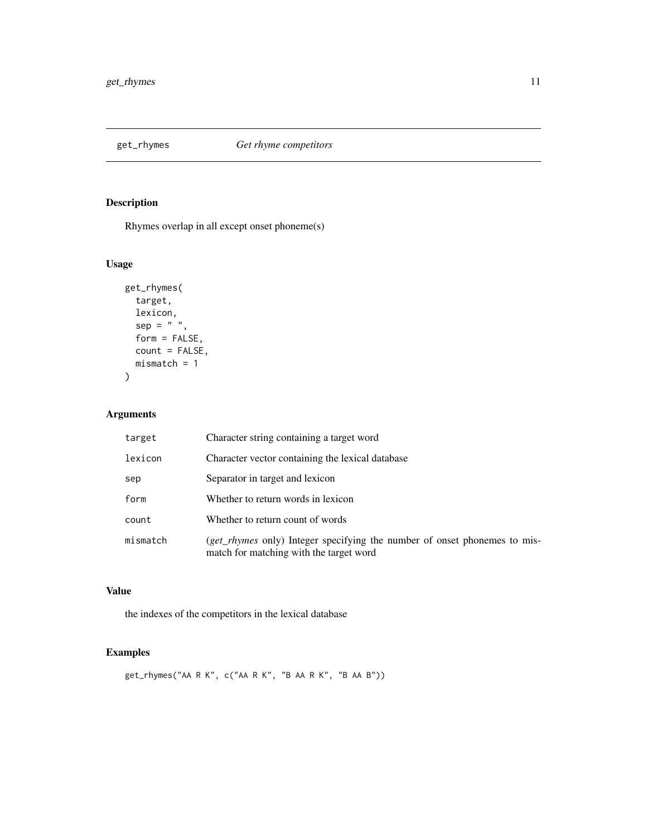<span id="page-10-0"></span>

Rhymes overlap in all except onset phoneme(s)

# Usage

```
get_rhymes(
  target,
  lexicon,
  sep = " " ,form = FALSE,
  count = FALSE,
  mismatch = 1
)
```
# Arguments

| target   | Character string containing a target word                                                                                   |
|----------|-----------------------------------------------------------------------------------------------------------------------------|
| lexicon  | Character vector containing the lexical database                                                                            |
| sep      | Separator in target and lexicon                                                                                             |
| form     | Whether to return words in lexicon                                                                                          |
| count    | Whether to return count of words                                                                                            |
| mismatch | <i>(get_rhymes</i> only) Integer specifying the number of onset phonemes to mis-<br>match for matching with the target word |

# Value

the indexes of the competitors in the lexical database

# Examples

get\_rhymes("AA R K", c("AA R K", "B AA R K", "B AA B"))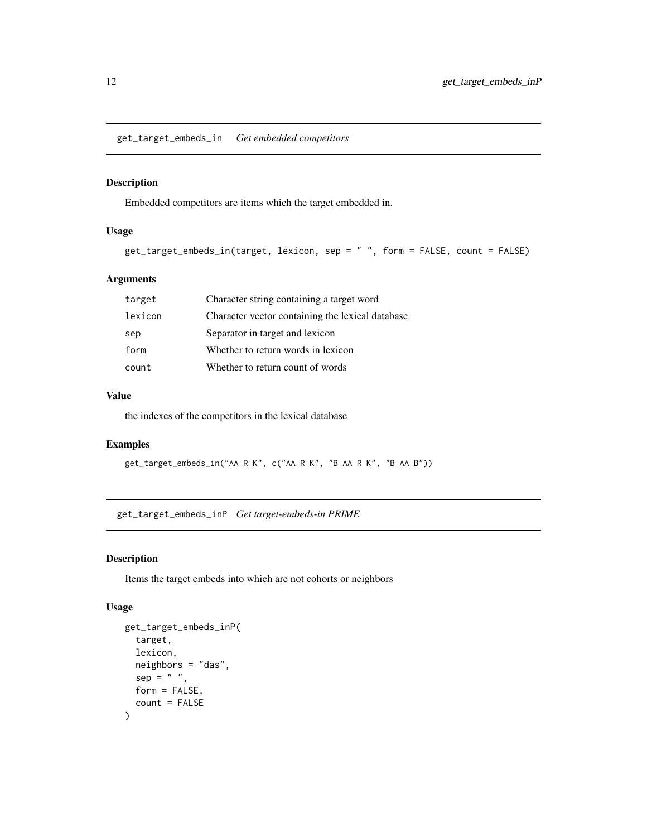<span id="page-11-0"></span>get\_target\_embeds\_in *Get embedded competitors*

#### Description

Embedded competitors are items which the target embedded in.

#### Usage

```
get_target_embeds_in(target, lexicon, sep = " ", form = FALSE, count = FALSE)
```
# Arguments

| target  | Character string containing a target word        |
|---------|--------------------------------------------------|
| lexicon | Character vector containing the lexical database |
| sep     | Separator in target and lexicon                  |
| form    | Whether to return words in lexicon               |
| count   | Whether to return count of words                 |

#### Value

the indexes of the competitors in the lexical database

# Examples

get\_target\_embeds\_in("AA R K", c("AA R K", "B AA R K", "B AA B"))

get\_target\_embeds\_inP *Get target-embeds-in PRIME*

# Description

Items the target embeds into which are not cohorts or neighbors

# Usage

```
get_target_embeds_inP(
 target,
 lexicon,
 neighbors = "das",
 sep = " "form = FALSE,
  count = FALSE
)
```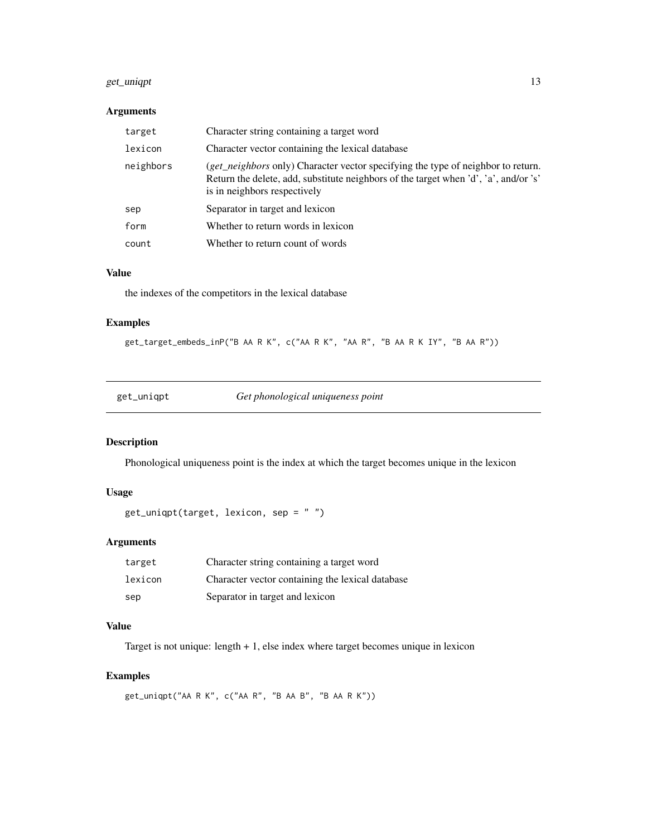# <span id="page-12-0"></span>get\_uniqpt 13

# Arguments

| target    | Character string containing a target word                                                                                                                                                                |
|-----------|----------------------------------------------------------------------------------------------------------------------------------------------------------------------------------------------------------|
| lexicon   | Character vector containing the lexical database                                                                                                                                                         |
| neighbors | (get_neighbors only) Character vector specifying the type of neighbor to return.<br>Return the delete, add, substitute neighbors of the target when 'd', 'a', and/or 's'<br>is in neighbors respectively |
| sep       | Separator in target and lexicon                                                                                                                                                                          |
| form      | Whether to return words in lexicon                                                                                                                                                                       |
| count     | Whether to return count of words                                                                                                                                                                         |

# Value

the indexes of the competitors in the lexical database

# Examples

```
get_target_embeds_inP("B AA R K", c("AA R K", "AA R", "B AA R K IY", "B AA R"))
```

| get_uniqpt |
|------------|
|            |
|            |
|            |

Get phonological uniqueness point

# Description

Phonological uniqueness point is the index at which the target becomes unique in the lexicon

# Usage

```
get_uniqpt(target, lexicon, sep = " ")
```
# Arguments

| target  | Character string containing a target word        |
|---------|--------------------------------------------------|
| lexicon | Character vector containing the lexical database |
| sep     | Separator in target and lexicon                  |

# Value

Target is not unique: length + 1, else index where target becomes unique in lexicon

# Examples

get\_uniqpt("AA R K", c("AA R", "B AA B", "B AA R K"))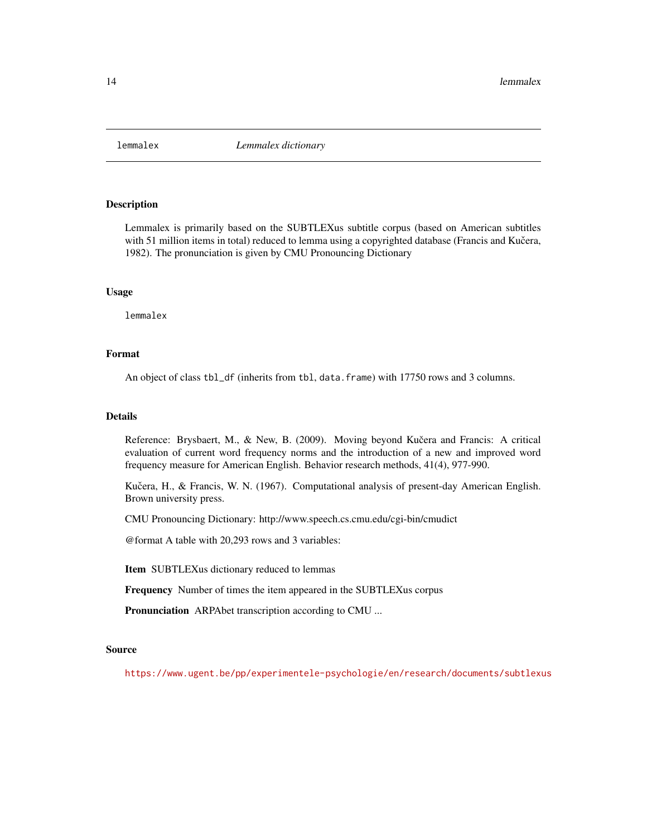<span id="page-13-0"></span>

Lemmalex is primarily based on the SUBTLEXus subtitle corpus (based on American subtitles with 51 million items in total) reduced to lemma using a copyrighted database (Francis and Kučera, 1982). The pronunciation is given by CMU Pronouncing Dictionary

#### Usage

lemmalex

#### Format

An object of class tbl\_df (inherits from tbl, data.frame) with 17750 rows and 3 columns.

#### Details

Reference: Brysbaert, M., & New, B. (2009). Moving beyond Kučera and Francis: A critical evaluation of current word frequency norms and the introduction of a new and improved word frequency measure for American English. Behavior research methods, 41(4), 977-990.

Kučera, H., & Francis, W. N. (1967). Computational analysis of present-day American English. Brown university press.

CMU Pronouncing Dictionary: http://www.speech.cs.cmu.edu/cgi-bin/cmudict

@format A table with 20,293 rows and 3 variables:

Item SUBTLEXus dictionary reduced to lemmas

Frequency Number of times the item appeared in the SUBTLEXus corpus

Pronunciation ARPAbet transcription according to CMU ...

#### Source

<https://www.ugent.be/pp/experimentele-psychologie/en/research/documents/subtlexus>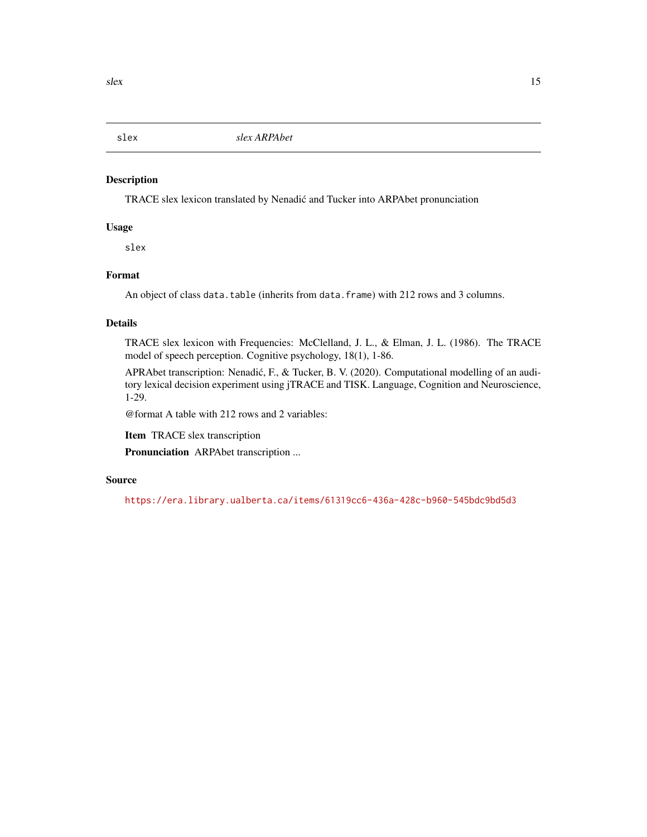<span id="page-14-0"></span>

TRACE slex lexicon translated by Nenadic and Tucker into ARPAbet pronunciation ´

# Usage

slex

# Format

An object of class data.table (inherits from data.frame) with 212 rows and 3 columns.

#### Details

TRACE slex lexicon with Frequencies: McClelland, J. L., & Elman, J. L. (1986). The TRACE model of speech perception. Cognitive psychology, 18(1), 1-86.

APRAbet transcription: Nenadić, F., & Tucker, B. V. (2020). Computational modelling of an auditory lexical decision experiment using jTRACE and TISK. Language, Cognition and Neuroscience, 1-29.

@format A table with 212 rows and 2 variables:

Item TRACE slex transcription

Pronunciation ARPAbet transcription ...

#### Source

<https://era.library.ualberta.ca/items/61319cc6-436a-428c-b960-545bdc9bd5d3>